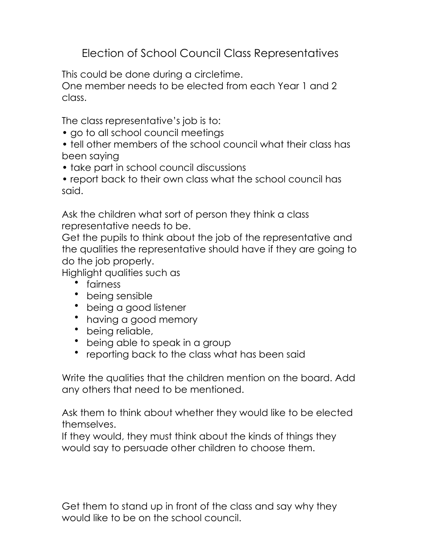Election of School Council Class Representatives

This could be done during a circletime.

One member needs to be elected from each Year 1 and 2 class.

The class representative's job is to:

- go to all school council meetings
- tell other members of the school council what their class has been saying
- take part in school council discussions
- report back to their own class what the school council has said.

Ask the children what sort of person they think a class representative needs to be.

Get the pupils to think about the job of the representative and the qualities the representative should have if they are going to do the job properly.

Highlight qualities such as

- fairness
- being sensible
- being a good listener
- having a good memory
- being reliable,
- being able to speak in a group
- reporting back to the class what has been said

Write the qualities that the children mention on the board. Add any others that need to be mentioned.

Ask them to think about whether they would like to be elected themselves.

If they would, they must think about the kinds of things they would say to persuade other children to choose them.

Get them to stand up in front of the class and say why they would like to be on the school council.